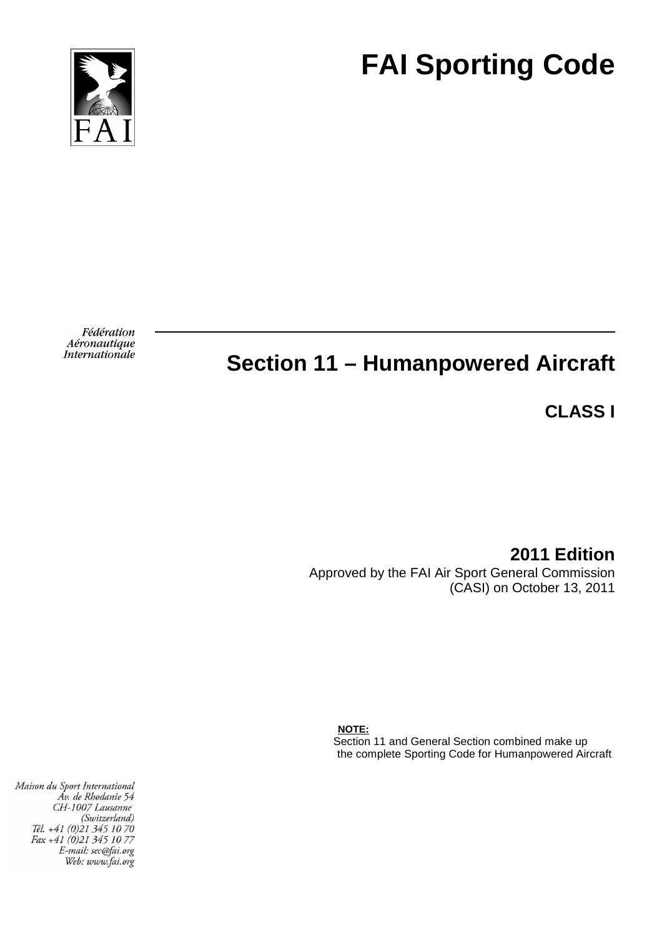



Fédération Aéronautique *Internationale* 

# **Section 11 – Humanpowered Aircraft**

**CLASS I** 

**2011 Edition**  Approved by the FAI Air Sport General Commission (CASI) on October 13, 2011

 **NOTE:**  Section 11 and General Section combined make up the complete Sporting Code for Humanpowered Aircraft

Maison du Sport International Áv. de Rhodanie 54 CH-1007 Lausanne (Switzerland) Tél. +41 (0)21 345 10 70 Fax +41 (0)21 345 10 77 E-mail: sec@fai.org Web: www.fai.org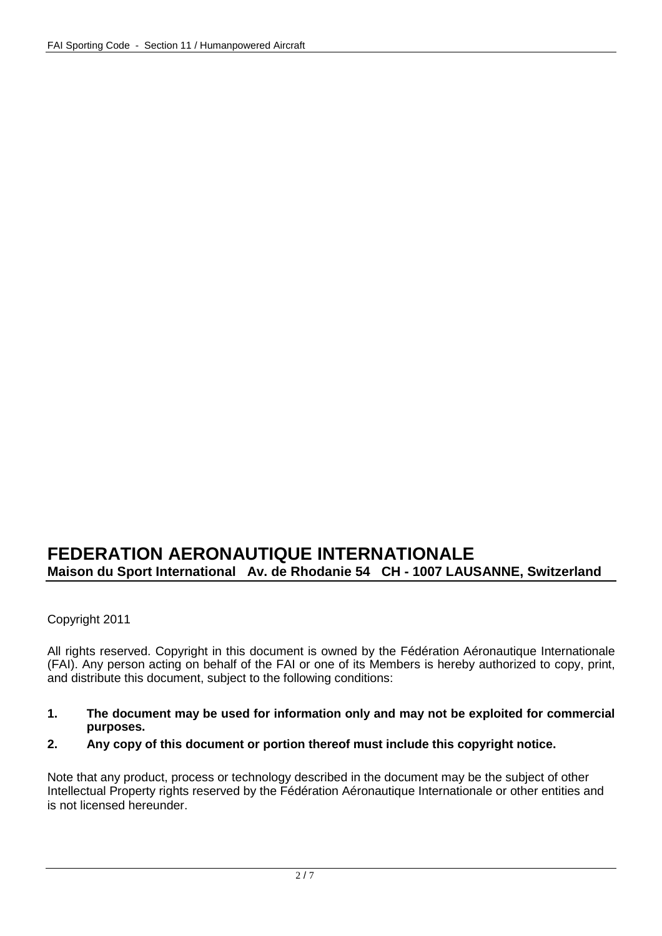# **FEDERATION AERONAUTIQUE INTERNATIONALE Maison du Sport International Av. de Rhodanie 54 CH - 1007 LAUSANNE, Switzerland**

Copyright 2011

All rights reserved. Copyright in this document is owned by the Fédération Aéronautique Internationale (FAI). Any person acting on behalf of the FAI or one of its Members is hereby authorized to copy, print, and distribute this document, subject to the following conditions:

- **1. The document may be used for information only and may not be exploited for commercial purposes.**
- **2. Any copy of this document or portion thereof must include this copyright notice.**

Note that any product, process or technology described in the document may be the subject of other Intellectual Property rights reserved by the Fédération Aéronautique Internationale or other entities and is not licensed hereunder.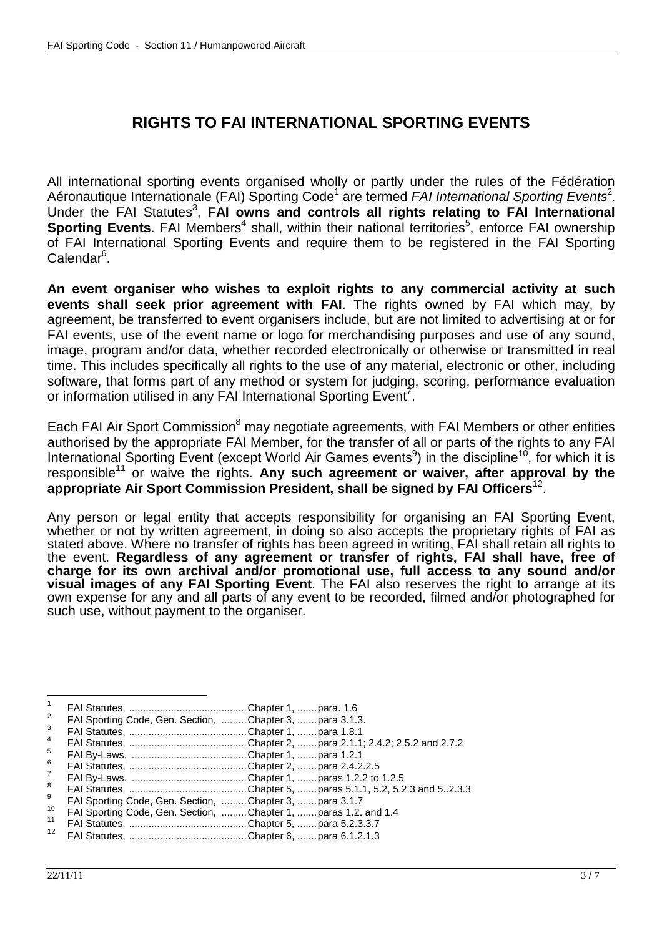# **RIGHTS TO FAI INTERNATIONAL SPORTING EVENTS**

All international sporting events organised wholly or partly under the rules of the Fédération Aéronautique Internationale (FAI) Sporting Code<sup>1</sup> are termed FAI International Sporting Events<sup>2</sup>. Under the FAI Statutes<sup>3</sup>, FAI owns and controls all rights relating to FAI International Sporting Events. FAI Members<sup>4</sup> shall, within their national territories<sup>5</sup>, enforce FAI ownership of FAI International Sporting Events and require them to be registered in the FAI Sporting Calendar<sup>6</sup>.

**An event organiser who wishes to exploit rights to any commercial activity at such events shall seek prior agreement with FAI**. The rights owned by FAI which may, by agreement, be transferred to event organisers include, but are not limited to advertising at or for FAI events, use of the event name or logo for merchandising purposes and use of any sound. image, program and/or data, whether recorded electronically or otherwise or transmitted in real time. This includes specifically all rights to the use of any material, electronic or other, including software, that forms part of any method or system for judging, scoring, performance evaluation or information utilised in any FAI International Sporting  $\textsf{Event}^\tau$ .

Each FAI Air Sport Commission<sup>8</sup> may negotiate agreements, with FAI Members or other entities authorised by the appropriate FAI Member, for the transfer of all or parts of the rights to any FAI International Sporting Event (except World Air Games events<sup>9</sup>) in the discipline<sup>10</sup>, for which it is responsible<sup>11</sup> or waive the rights. Any such agreement or waiver, after approval by the appropriate Air Sport Commission President, shall be signed by FAI Officers<sup>12</sup>.

Any person or legal entity that accepts responsibility for organising an FAI Sporting Event, whether or not by written agreement, in doing so also accepts the proprietary rights of FAI as stated above. Where no transfer of rights has been agreed in writing, FAI shall retain all rights to the event. **Regardless of any agreement or transfer of rights, FAI shall have, free of charge for its own archival and/or promotional use, full access to any sound and/or visual images of any FAI Sporting Event**. The FAI also reserves the right to arrange at its own expense for any and all parts of any event to be recorded, filmed and/or photographed for such use, without payment to the organiser.

| $\overline{1}$  |                                                          |                                                                 |
|-----------------|----------------------------------------------------------|-----------------------------------------------------------------|
| 2               | FAI Sporting Code, Gen. Section, Chapter 3,  para 3.1.3. |                                                                 |
| 3               |                                                          |                                                                 |
| $\overline{4}$  |                                                          |                                                                 |
| 5               |                                                          |                                                                 |
| 6               |                                                          |                                                                 |
| $\overline{7}$  |                                                          |                                                                 |
| 8               |                                                          |                                                                 |
| 9               | FAI Sporting Code, Gen. Section, Chapter 3,  para 3.1.7  |                                                                 |
| 10              |                                                          | FAI Sporting Code, Gen. Section, Chapter 1,  paras 1.2. and 1.4 |
| 11              |                                                          |                                                                 |
| 12 <sup>°</sup> |                                                          |                                                                 |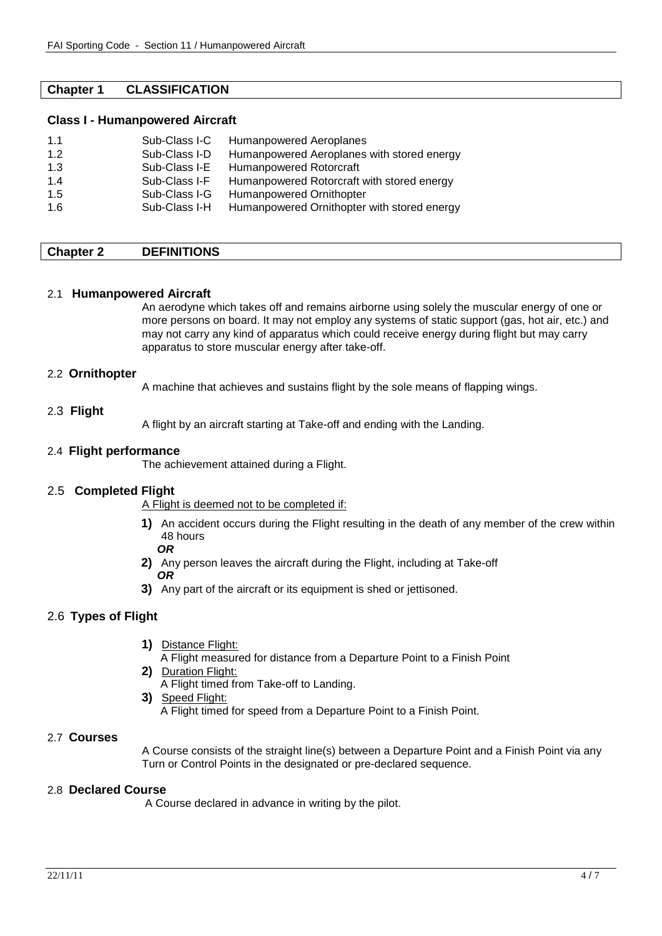# **Chapter 1 CLASSIFICATION**

#### **Class I - Humanpowered Aircraft**

| 1.1 | Sub-Class I-C | Humanpowered Aeroplanes                     |
|-----|---------------|---------------------------------------------|
| 1.2 | Sub-Class I-D | Humanpowered Aeroplanes with stored energy  |
| 1.3 | Sub-Class I-E | Humanpowered Rotorcraft                     |
| 1.4 | Sub-Class I-F | Humanpowered Rotorcraft with stored energy  |
| 1.5 | Sub-Class I-G | Humanpowered Ornithopter                    |
| 1.6 | Sub-Class I-H | Humanpowered Ornithopter with stored energy |

# **Chapter 2 DEFINITIONS**

#### 2.1 **Humanpowered Aircraft**

An aerodyne which takes off and remains airborne using solely the muscular energy of one or more persons on board. It may not employ any systems of static support (gas, hot air, etc.) and may not carry any kind of apparatus which could receive energy during flight but may carry apparatus to store muscular energy after take-off.

#### 2.2 **Ornithopter**

A machine that achieves and sustains flight by the sole means of flapping wings.

#### 2.3 **Flight**

A flight by an aircraft starting at Take-off and ending with the Landing.

#### 2.4 **Flight performance**

The achievement attained during a Flight.

# 2.5 **Completed Flight**

A Flight is deemed not to be completed if:

- **1)** An accident occurs during the Flight resulting in the death of any member of the crew within 48 hours
- **OR**
- **2)** Any person leaves the aircraft during the Flight, including at Take-off  **OR**
- **3)** Any part of the aircraft or its equipment is shed or jettisoned.

# 2.6 **Types of Flight**

- **1)** Distance Flight:
	- A Flight measured for distance from a Departure Point to a Finish Point
- **2)** Duration Flight:
	- A Flight timed from Take-off to Landing.
- **3)** Speed Flight:
	- A Flight timed for speed from a Departure Point to a Finish Point.

# 2.7 **Courses**

A Course consists of the straight line(s) between a Departure Point and a Finish Point via any Turn or Control Points in the designated or pre-declared sequence.

# 2.8 **Declared Course**

A Course declared in advance in writing by the pilot.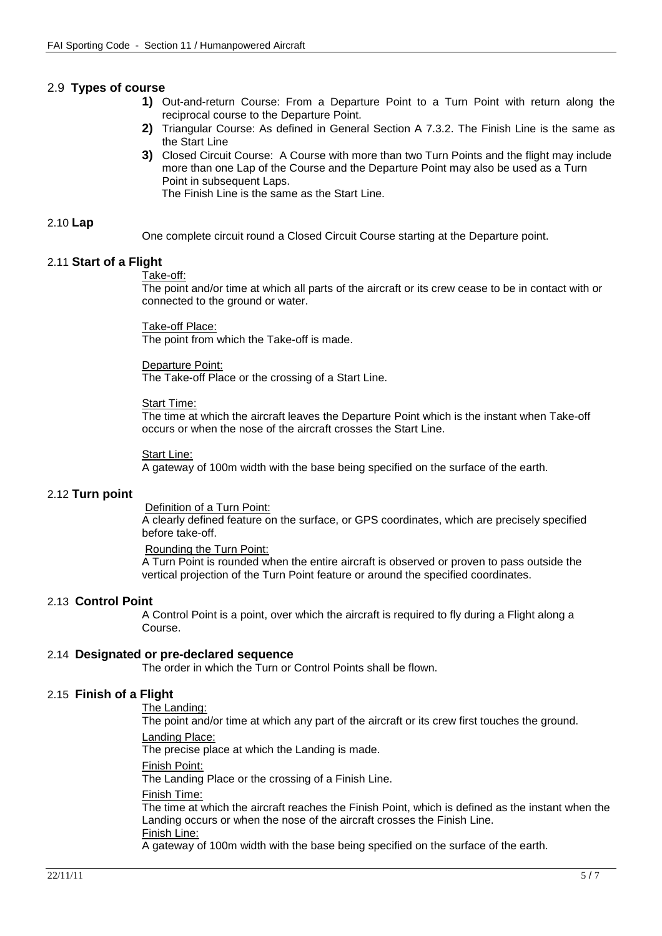# 2.9 **Types of course**

- **1)** Out-and-return Course: From a Departure Point to a Turn Point with return along the reciprocal course to the Departure Point.
- **2)** Triangular Course: As defined in General Section A 7.3.2. The Finish Line is the same as the Start Line
- **3)** Closed Circuit Course: A Course with more than two Turn Points and the flight may include more than one Lap of the Course and the Departure Point may also be used as a Turn Point in subsequent Laps.

The Finish Line is the same as the Start Line.

# 2.10 **Lap**

One complete circuit round a Closed Circuit Course starting at the Departure point.

# 2.11 **Start of a Flight**

#### Take-off:

The point and/or time at which all parts of the aircraft or its crew cease to be in contact with or connected to the ground or water.

Take-off Place:

The point from which the Take-off is made.

#### Departure Point:

The Take-off Place or the crossing of a Start Line.

#### Start Time:

The time at which the aircraft leaves the Departure Point which is the instant when Take-off occurs or when the nose of the aircraft crosses the Start Line.

#### Start Line:

A gateway of 100m width with the base being specified on the surface of the earth.

# 2.12 **Turn point**

Definition of a Turn Point:

A clearly defined feature on the surface, or GPS coordinates, which are precisely specified before take-off.

#### Rounding the Turn Point:

A Turn Point is rounded when the entire aircraft is observed or proven to pass outside the vertical projection of the Turn Point feature or around the specified coordinates.

# 2.13 **Control Point**

A Control Point is a point, over which the aircraft is required to fly during a Flight along a Course.

# 2.14 **Designated or pre-declared sequence**

The order in which the Turn or Control Points shall be flown.

# 2.15 **Finish of a Flight**

The Landing:

 The point and/or time at which any part of the aircraft or its crew first touches the ground. Landing Place:

The precise place at which the Landing is made.

Finish Point:

The Landing Place or the crossing of a Finish Line.

# Finish Time:

The time at which the aircraft reaches the Finish Point, which is defined as the instant when the Landing occurs or when the nose of the aircraft crosses the Finish Line. Finish Line:

A gateway of 100m width with the base being specified on the surface of the earth.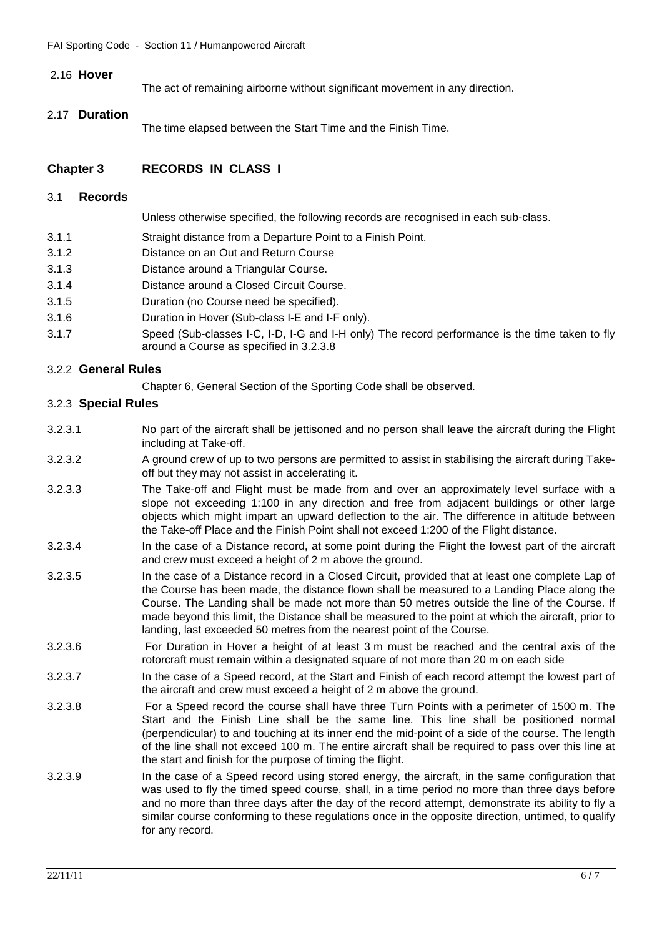# 2.16 **Hover**

The act of remaining airborne without significant movement in any direction.

# 2.17 **Duration**

The time elapsed between the Start Time and the Finish Time.

# **Chapter 3 RECORDS IN CLASS I**

#### 3.1 **Records**

Unless otherwise specified, the following records are recognised in each sub-class.

- 3.1.1 Straight distance from a Departure Point to a Finish Point.
- 3.1.2 Distance on an Out and Return Course
- 3.1.3 Distance around a Triangular Course.
- 3.1.4 Distance around a Closed Circuit Course.
- 3.1.5 Duration (no Course need be specified).
- 3.1.6 Duration in Hover (Sub-class I-E and I-F only).
- 3.1.7 Speed (Sub-classes I-C, I-D, I-G and I-H only) The record performance is the time taken to fly around a Course as specified in 3.2.3.8

# 3.2.2 **General Rules**

Chapter 6, General Section of the Sporting Code shall be observed.

# 3.2.3 **Special Rules**

- 3.2.3.1 No part of the aircraft shall be jettisoned and no person shall leave the aircraft during the Flight including at Take-off.
- 3.2.3.2 A ground crew of up to two persons are permitted to assist in stabilising the aircraft during Takeoff but they may not assist in accelerating it.
- 3.2.3.3 The Take-off and Flight must be made from and over an approximately level surface with a slope not exceeding 1:100 in any direction and free from adjacent buildings or other large objects which might impart an upward deflection to the air. The difference in altitude between the Take-off Place and the Finish Point shall not exceed 1:200 of the Flight distance.
- 3.2.3.4 In the case of a Distance record, at some point during the Flight the lowest part of the aircraft and crew must exceed a height of 2 m above the ground.
- 3.2.3.5 In the case of a Distance record in a Closed Circuit, provided that at least one complete Lap of the Course has been made, the distance flown shall be measured to a Landing Place along the Course. The Landing shall be made not more than 50 metres outside the line of the Course. If made beyond this limit, the Distance shall be measured to the point at which the aircraft, prior to landing, last exceeded 50 metres from the nearest point of the Course.
- 3.2.3.6 For Duration in Hover a height of at least 3 m must be reached and the central axis of the rotorcraft must remain within a designated square of not more than 20 m on each side
- 3.2.3.7 In the case of a Speed record, at the Start and Finish of each record attempt the lowest part of the aircraft and crew must exceed a height of 2 m above the ground.
- 3.2.3.8 For a Speed record the course shall have three Turn Points with a perimeter of 1500 m. The Start and the Finish Line shall be the same line. This line shall be positioned normal (perpendicular) to and touching at its inner end the mid-point of a side of the course. The length of the line shall not exceed 100 m. The entire aircraft shall be required to pass over this line at the start and finish for the purpose of timing the flight.
- 3.2.3.9 In the case of a Speed record using stored energy, the aircraft, in the same configuration that was used to fly the timed speed course, shall, in a time period no more than three days before and no more than three days after the day of the record attempt, demonstrate its ability to fly a similar course conforming to these regulations once in the opposite direction, untimed, to qualify for any record.